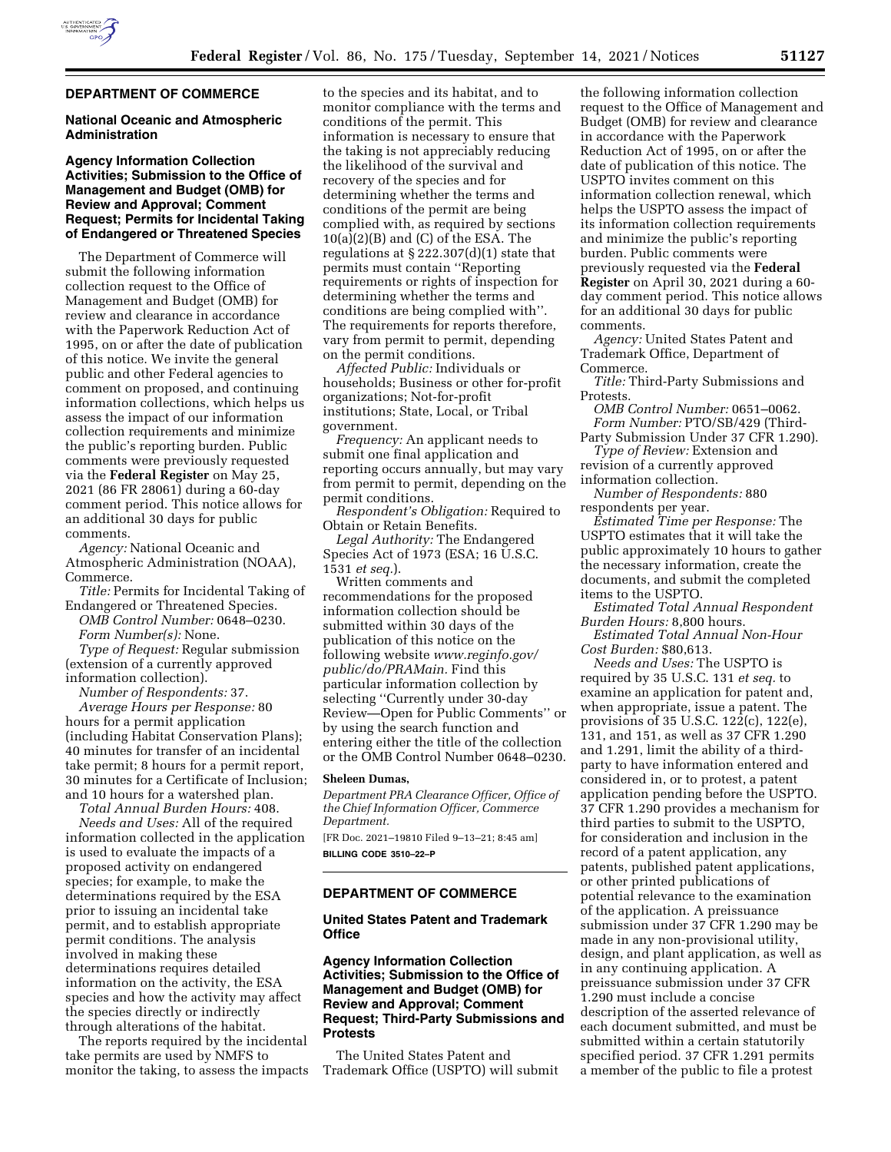

### **DEPARTMENT OF COMMERCE**

### **National Oceanic and Atmospheric Administration**

### **Agency Information Collection Activities; Submission to the Office of Management and Budget (OMB) for Review and Approval; Comment Request; Permits for Incidental Taking of Endangered or Threatened Species**

The Department of Commerce will submit the following information collection request to the Office of Management and Budget (OMB) for review and clearance in accordance with the Paperwork Reduction Act of 1995, on or after the date of publication of this notice. We invite the general public and other Federal agencies to comment on proposed, and continuing information collections, which helps us assess the impact of our information collection requirements and minimize the public's reporting burden. Public comments were previously requested via the **Federal Register** on May 25, 2021 (86 FR 28061) during a 60-day comment period. This notice allows for an additional 30 days for public comments.

*Agency:* National Oceanic and Atmospheric Administration (NOAA), Commerce.

*Title:* Permits for Incidental Taking of Endangered or Threatened Species.

*OMB Control Number:* 0648–0230. *Form Number(s):* None.

*Type of Request:* Regular submission (extension of a currently approved information collection).

*Number of Respondents:* 37.

*Average Hours per Response:* 80 hours for a permit application (including Habitat Conservation Plans); 40 minutes for transfer of an incidental take permit; 8 hours for a permit report, 30 minutes for a Certificate of Inclusion; and 10 hours for a watershed plan.

*Total Annual Burden Hours:* 408. *Needs and Uses:* All of the required information collected in the application is used to evaluate the impacts of a proposed activity on endangered species; for example, to make the determinations required by the ESA prior to issuing an incidental take permit, and to establish appropriate permit conditions. The analysis involved in making these determinations requires detailed information on the activity, the ESA species and how the activity may affect the species directly or indirectly through alterations of the habitat.

The reports required by the incidental take permits are used by NMFS to monitor the taking, to assess the impacts to the species and its habitat, and to monitor compliance with the terms and conditions of the permit. This information is necessary to ensure that the taking is not appreciably reducing the likelihood of the survival and recovery of the species and for determining whether the terms and conditions of the permit are being complied with, as required by sections  $10(a)(2)(B)$  and (C) of the ESA. The regulations at  $\S 222.307(d)(1)$  state that permits must contain ''Reporting requirements or rights of inspection for determining whether the terms and conditions are being complied with''. The requirements for reports therefore, vary from permit to permit, depending on the permit conditions.

*Affected Public:* Individuals or households; Business or other for-profit organizations; Not-for-profit institutions; State, Local, or Tribal government.

*Frequency:* An applicant needs to submit one final application and reporting occurs annually, but may vary from permit to permit, depending on the permit conditions.

*Respondent's Obligation:* Required to Obtain or Retain Benefits.

*Legal Authority:* The Endangered Species Act of 1973 (ESA; 16 U.S.C. 1531 *et seq.*).

Written comments and recommendations for the proposed information collection should be submitted within 30 days of the publication of this notice on the following website *[www.reginfo.gov/](http://www.reginfo.gov/public/do/PRAMain)  [public/do/PRAMain.](http://www.reginfo.gov/public/do/PRAMain)* Find this particular information collection by selecting ''Currently under 30-day Review—Open for Public Comments'' or by using the search function and entering either the title of the collection or the OMB Control Number 0648–0230.

#### **Sheleen Dumas,**

*Department PRA Clearance Officer, Office of the Chief Information Officer, Commerce Department.* 

[FR Doc. 2021–19810 Filed 9–13–21; 8:45 am] **BILLING CODE 3510–22–P** 

### **DEPARTMENT OF COMMERCE**

### **United States Patent and Trademark Office**

### **Agency Information Collection Activities; Submission to the Office of Management and Budget (OMB) for Review and Approval; Comment Request; Third-Party Submissions and Protests**

The United States Patent and Trademark Office (USPTO) will submit

the following information collection request to the Office of Management and Budget (OMB) for review and clearance in accordance with the Paperwork Reduction Act of 1995, on or after the date of publication of this notice. The USPTO invites comment on this information collection renewal, which helps the USPTO assess the impact of its information collection requirements and minimize the public's reporting burden. Public comments were previously requested via the **Federal Register** on April 30, 2021 during a 60 day comment period. This notice allows for an additional 30 days for public comments.

*Agency:* United States Patent and Trademark Office, Department of Commerce.

*Title:* Third-Party Submissions and Protests.

*OMB Control Number:* 0651–0062. *Form Number:* PTO/SB/429 (Third-

Party Submission Under 37 CFR 1.290). *Type of Review:* Extension and

revision of a currently approved information collection.

*Number of Respondents:* 880 respondents per year.

*Estimated Time per Response:* The USPTO estimates that it will take the public approximately 10 hours to gather the necessary information, create the documents, and submit the completed items to the USPTO.

*Estimated Total Annual Respondent Burden Hours:* 8,800 hours.

*Estimated Total Annual Non-Hour Cost Burden:* \$80,613.

*Needs and Uses:* The USPTO is required by 35 U.S.C. 131 *et seq.* to examine an application for patent and, when appropriate, issue a patent. The provisions of 35 U.S.C. 122(c), 122(e), 131, and 151, as well as 37 CFR 1.290 and 1.291, limit the ability of a thirdparty to have information entered and considered in, or to protest, a patent application pending before the USPTO. 37 CFR 1.290 provides a mechanism for third parties to submit to the USPTO, for consideration and inclusion in the record of a patent application, any patents, published patent applications, or other printed publications of potential relevance to the examination of the application. A preissuance submission under 37 CFR 1.290 may be made in any non-provisional utility, design, and plant application, as well as in any continuing application. A preissuance submission under 37 CFR 1.290 must include a concise description of the asserted relevance of each document submitted, and must be submitted within a certain statutorily specified period. 37 CFR 1.291 permits a member of the public to file a protest